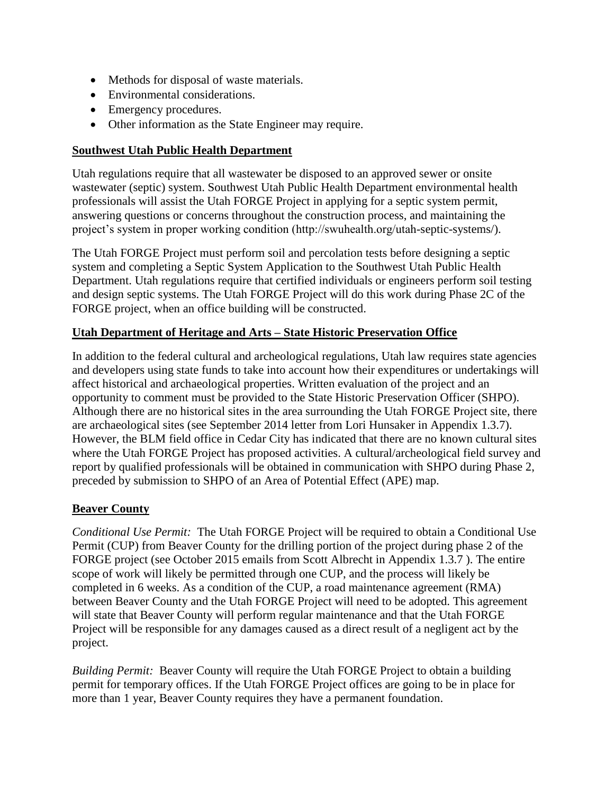### **Task 1.3.7. Environmental Information Synopsis**

#### **Environmental Setting**

The Utah FORGE site is adjacent to an operating 306 MW wind farm and a planned 240 MW solar PV plant in a broad, mostly flat, 5000+/- ft. elevation high desert valley of grass and shrub lands, some of which is used for cattle range. This generally rural area is bisected by highways, a rail line, major and minor power and gas pipeline utility corridors, and scattered small communities. Milford, Utah, is 16 miles east of the project site. The Roosevelt Hot Springs PacifiCorp Blundell geothermal power plant and a 500,000 hog farm and biogas operation are south of Milford.

Access to the Utah FORGE project site is year-round via existing county-maintained roads. Annual precipitation is about 12 inches, highest total monthly snowfall is about 3.5 inches (in December) and annual snowfall about 16 inches, significantly less than the Utah average. There are no potable aquifers and no surface waters in the project area. Groundwater is of poor quality but suitable for use in, and already secured for, the stimulation projects. The valley is still open for additional water appropriation.

In 2007-2008 a lightning-caused wildfire removed most plant habitat and the area was reseeded with indigenous grasses. Although no threatened or endangered species have been identified, there are some cross-country restrictions during nesting season for migratory birds. Biological and archeological surveys are planned to be conducted as part of the site inventory in Phase 2A.

#### **NETL and the National Environmental Policy Act (NEPA)**

NEPA review of the project is facilitated by the existing environmental data found in the 2011 multistate solar PEIS that includes the Milford area and in a 2008 EA for the wind farm adjacent to the proposed project site. BLM manages a majority of the lands in the project area and NEPA review will also benefit from the numerous BLM resource inventory and planning documents. See, at the minimum:

USDOI BLM Environmental Assessment UT-040-82973: Milford Wind Corridor Project, October15, 2008. See: *[http://www.blm.gov/style/medialib/blm/wo/MINERALS\\_\\_REALTY\\_\\_AND\\_RESOURCE\\_](http://www.blm.gov/style/medialib/blm/wo/MINERALS__REALTY__AND_RESOURCE_PROTECTION_/energy/renewable_references.Par.95803.File.dat/Milford%20Wind%20Corridor%20Project%20EA%2010-14-08.pdf)*

*[PROTECTION\\_/energy/renewable\\_references.Par.95803.File.dat/Milford%20Wind%20](http://www.blm.gov/style/medialib/blm/wo/MINERALS__REALTY__AND_RESOURCE_PROTECTION_/energy/renewable_references.Par.95803.File.dat/Milford%20Wind%20Corridor%20Project%20EA%2010-14-08.pdf) [Corridor%20Project%20EA%2010-14-08.pdf](http://www.blm.gov/style/medialib/blm/wo/MINERALS__REALTY__AND_RESOURCE_PROTECTION_/energy/renewable_references.Par.95803.File.dat/Milford%20Wind%20Corridor%20Project%20EA%2010-14-08.pdf)*

- EIS-0403: Draft (2011) and Final (2012) Programmatic Environmental Impact Statement Solar Energy Development in Six Southwestern States (AZ, CA, CO, NV, NM, and UT). See: energy.gov/nepa/downloads/eis-0403-final-programmaticenvironmental-impact-statement
- BLM 2013 Cedar City Field Office Resource Management Plan Analysis of the Management Situation. See: *[https://eplanning.blm.gov/epl-front](https://eplanning.blm.gov/epl-front-office/projects/lup/7100/56975/61666/CCFO_AMS_.pdf)[office/projects/lup/7100/56975/61666/CCFO\\_AMS\\_.pdf](https://eplanning.blm.gov/epl-front-office/projects/lup/7100/56975/61666/CCFO_AMS_.pdf)*

Cedar City Field Office Resource Management Plan/Environmental Impact Statement: Analysis of the Management Situation, Appendix K Renewable Resources Report. See: *https://eplanning.blm.gov/epl-frontoffice/projects/lup/7100/42769/45569/Appendix\_K.\_\_Renewable\_Resources\_Rep ort.pdf*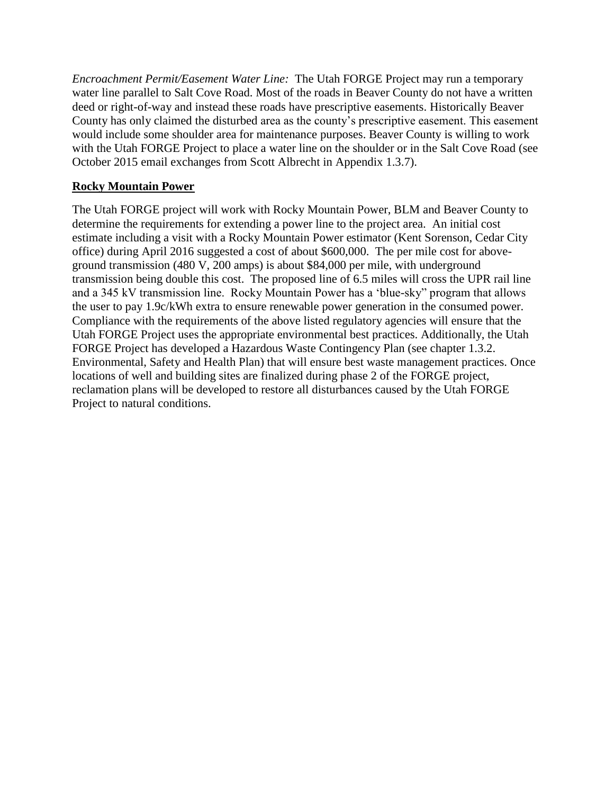The Utah FORGE Team recommends a national  $3<sup>rd</sup>$  party environmental services firm familiar with the area and issues -- SWCA, with offices in Salt Lake City (or another firm acceptable to NETL) be contracted to assist in preparing the Environmental Inventory and the Environmental Assessment (EA).

The Utah FORGE team will provide a detailed project description and surface facilities layout, participate in scoping, provide project, geophysical and geochemical data, subcontract biological and cultural/archeological field surveys using professionals acceptable to NETL and coordinate with NEPA staff of US DOE NETL, US Bureau of Land Management, University of Utah EGI, and other cognizant Utah State agencies. The Utah FORGE Team will also respond to all information requests by the environmental firm, agencies and DOE and make team professionals available on subjects within their area of expertise. It is anticipated that lead and cooperating agency(ies) will be determined among the agencies or by NETL. NETL will provide NEPA contract oversight and review. The NEPA review will assist U.S. DOE in go/no-go decisions and the U.S. Bureau of Land Management (BLM) and Utah State Agencies in evaluating whether and with what stipulations/conditions to grant permits to the Utah FORGE Project to develop the proposed project facilities, in compliance with NEPA.

### **Best Management Practices and Standard Operating Procedures**

Production and injection well drilling and operating best management practices (BMPs), standard operating procedures (SOPs) and waste management practices will be identified early in the Phase 2 planning, permitting and NEPA processes and implemented throughout. The Utah FORGE project will employ use of "Baker tanks" to handle drilling muds and produced fluids. Examples of reference sources for best management practices include but are not limited to mitigation measures cited in various geothermal EAs and the following resource documents and their cited references:

BLM's Gold Book. See:

*[http://www.blm.gov/style/medialib/blm/wo/MINERALS\\_\\_REALTY\\_\\_AND\\_RESO](http://www.blm.gov/style/medialib/blm/wo/MINERALS__REALTY__AND_RESOURCE_PROTECTION_/energy/oil_and_gas.Par.18714.File.dat/OILgas.pdf) [URCE\\_PROTECTION\\_/energy/oil\\_and\\_gas.Par.18714.File.dat/OILgas.pdf](http://www.blm.gov/style/medialib/blm/wo/MINERALS__REALTY__AND_RESOURCE_PROTECTION_/energy/oil_and_gas.Par.18714.File.dat/OILgas.pdf)* BLM Winnemucca District Appendix B. Best Management Practices and Standard Operating Procedures. See *http://www.blm.gov/style/medialib/blm/nv/field\_offices/winnemucca\_field\_office/r mp/0.Par.48614.File.dat/Volume5Part2ApdxB.pdf*

Handbook of Best Practices for Geothermal Drilling: John Finger and Doug Blankenship, Prepared for the International Energy Agency, Geothermal Implementing Agreement, Annex VII by Sandia National Laboratories. December 2010. See: *http://www1.eere.energy.gov/geothermal/pdfs/drillinghandbook.pdf*

## **Permits**

The Utah FORGE Project team is fully versed in and will comply with all county, state and federal standards and permitting requirements, including collection of environmental baseline data, environmental review, stipulations/conditions of permits, mitigation processes, and reclamation activities following FORGE activities . The proposed Utah FORGE project has received enthusiastic support from landowners, the local community, the county and state officials. The status of preliminary discussions, applications and negotiations with agency and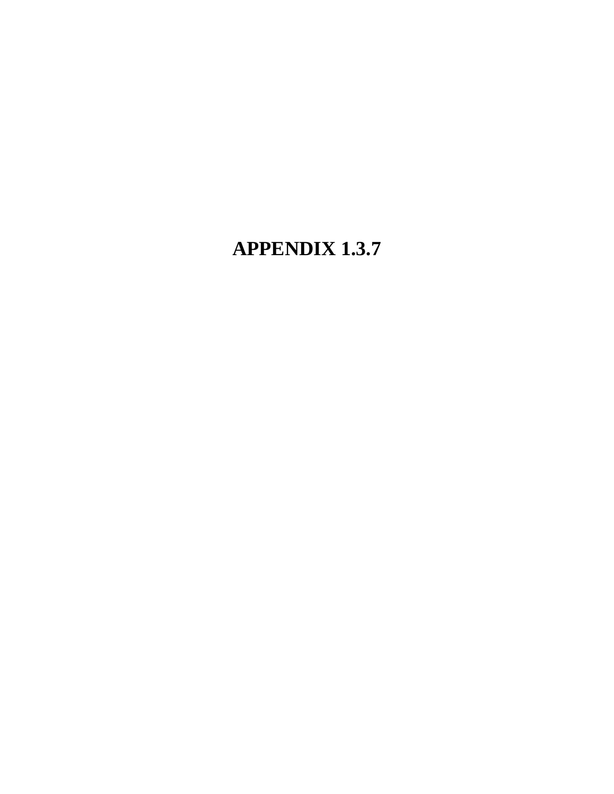landowner staff are shown in Table 1. The cost of the environmental permitting is estimated to be \$225,000. This includes the cost of environmental consultants, required surveys and efforts from the Utah FORGE team including data gathering, presentations, and travel. Monitoring, ongoing reporting and insurance/well bonds represent additional costs. We anticipate most of the permitting can be initiated in Phase 2A, although completion of NEPA may require most of Phase 2B (Table 2).

*Table 1.Preliminary list of permits and access rights.*

| <b>AGENCY/ENTITY</b>    | PERMIT/RIGHT                    | <b>APPLIED</b> | <b>ISSUED</b> | <b>REQUIRES</b> |  |  |
|-------------------------|---------------------------------|----------------|---------------|-----------------|--|--|
|                         |                                 | <b>FOR</b>     |               | <b>NEPA</b>     |  |  |
| <b>Utah State Lands</b> | Use of Land/Subsurface          |                |               | Yes             |  |  |
| Murphy-Brown            | Use of Land/Subsurface          |                |               | Yes             |  |  |
| <b>BLM</b> Cedar City   | Temporary Water                 | Yes            |               | Yes             |  |  |
|                         | Pipeline                        |                |               |                 |  |  |
| <b>BLM</b> Cedar City   | Geophysical/Geological          | Yes            |               | N <sub>o</sub>  |  |  |
|                         | <b>Surveys</b>                  |                |               |                 |  |  |
| <b>BLM</b> Cedar City   | Vibroseis                       | Yes            |               | Yes             |  |  |
| <b>BLM Cedar City</b>   | Rocky Mtn Power Line            | No             |               | Yes             |  |  |
|                         | Extension Right of Way          |                |               |                 |  |  |
| <b>BLM Cedar City</b>   | Right of Way, Fiber             | N <sub>o</sub> |               | Yes             |  |  |
|                         | optics along road               |                |               |                 |  |  |
| Murphy-Brown            | 200 Acre Ft. Water Right        | Yes            | Yes           | N <sub>o</sub>  |  |  |
| Utah Nat. Res.          | 300 Acre Ft. Water Right        | Yes            |               | N <sub>o</sub>  |  |  |
| <b>DWR</b>              |                                 |                |               |                 |  |  |
| Utah Natural Res.       | <b>Geothermal Well Permits</b>  | No             |               | Yes             |  |  |
| Utah DEQ - Div.         | $UIC - Underground$             | N <sub>o</sub> |               | EA will         |  |  |
| Water Qual (DWQ)        | <b>Injection Control</b>        |                |               | address         |  |  |
| Utah DEQ - Div.         | <b>Stormwater UPDES</b>         | N <sub>o</sub> |               | EA will         |  |  |
| Water Qual (DWQ)        | <b>General Permit</b>           |                |               | address         |  |  |
| Utah DEQ - Div.         | Fuel/Other Flammable or         | Guidance       |               | EA will         |  |  |
| Water Qual (DWQ)        | Hazardous Material              | offered        |               | address         |  |  |
| Utah DEQ - Div.         | Groundwater Discharge           | N <sub>0</sub> |               | EA will         |  |  |
| Water Qual (DWQ)        | Permit (to be determined)       |                |               | address         |  |  |
| <b>Beaver County</b>    | <b>Conditional Use Permit</b>   | N <sub>o</sub> |               | EA will         |  |  |
| Planning                |                                 |                |               | address         |  |  |
| <b>SW Utah Public</b>   | Sanitary Waste - Office         | N <sub>o</sub> |               | EA will         |  |  |
| Health Dept.            | Septic System                   |                |               | address         |  |  |
| Utah Dept. Heritage     | Historic/Cultural/Archeol.      | No             |               | EA will         |  |  |
| and Arts - SHPO         | <b>APE Map for Approval</b>     |                |               | address         |  |  |
| Rocky Mtn Power         | <b>Power Line Authorization</b> | N <sub>o</sub> |               |                 |  |  |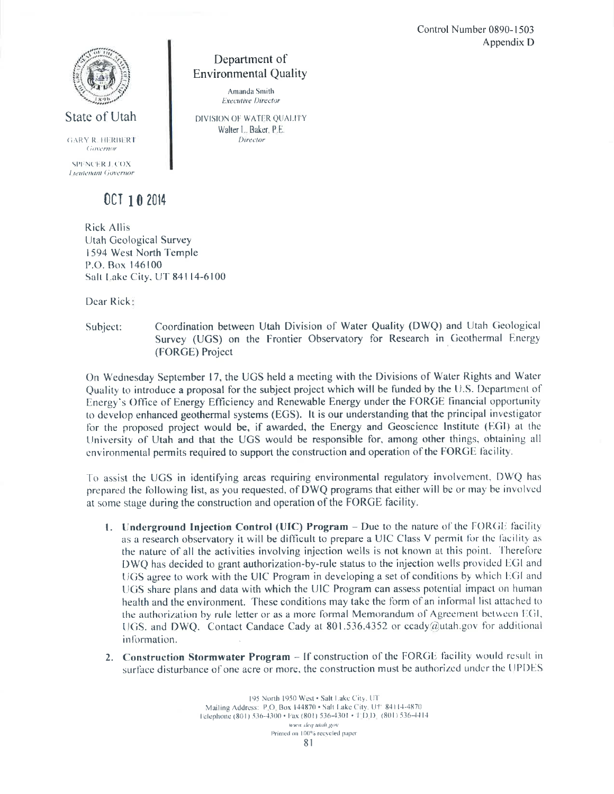*Table 2. Permitting and EA schedule in months.*

| Finalize All 2A Tasks                                                                                                                                                                                                                                                                                                                               | $\overline{2}$ | $\overline{3}$ | 4 | 5 | 6 | 7 | 8 | 9 | 10 | 11 | 12 | 13 | 14 | 15 | 16 | 17 |
|-----------------------------------------------------------------------------------------------------------------------------------------------------------------------------------------------------------------------------------------------------------------------------------------------------------------------------------------------------|----------------|----------------|---|---|---|---|---|---|----|----|----|----|----|----|----|----|
| Arch/Biol.Surveys & Rpt                                                                                                                                                                                                                                                                                                                             |                |                |   |   |   |   |   |   |    |    |    |    |    |    |    |    |
| Permits w/ DNA or Casual<br><b>Use</b>                                                                                                                                                                                                                                                                                                              |                |                |   |   |   |   |   |   |    |    |    |    |    |    |    |    |
| Environ. Assessment                                                                                                                                                                                                                                                                                                                                 |                |                |   |   |   |   |   |   |    |    |    |    |    |    |    |    |
| Permits w/ EA<br>$\mathbf{r}$ $\mathbf{r}$ $\mathbf{r}$ $\mathbf{r}$ $\mathbf{r}$ $\mathbf{r}$ $\mathbf{r}$ $\mathbf{r}$ $\mathbf{r}$ $\mathbf{r}$ $\mathbf{r}$ $\mathbf{r}$ $\mathbf{r}$ $\mathbf{r}$ $\mathbf{r}$ $\mathbf{r}$ $\mathbf{r}$ $\mathbf{r}$ $\mathbf{r}$ $\mathbf{r}$ $\mathbf{r}$ $\mathbf{r}$ $\mathbf{r}$ $\mathbf{r}$ $\mathbf{$ |                |                |   |   |   |   |   |   |    |    |    |    |    |    |    |    |

Phase  $2A = blue$ ; Phase  $2B = green$ .

# **BLM - U.S. Bureau of Land Management**

*Rights of Way, Permits and NEPA:* Although the project site is on private lands, rights-of-way, Notices of Intent and other permits are required from the BLM authorizing use of the surface across BLM land for access to the site and siting of geophysical surveys, extension of a power line to the project, for the temporary surface pipeline from water wells to the project site, installation of a fiber optic line along existing roads and any other operations requiring temporary or permanent access across or use of BLM lands. Preliminary review of proposed operations by the BLM field office staff in Cedar City have identified no barriers to approval of project activities using BLM land (see BLM letter and attachments of April 19, 2016, Appendix 1.3.7).

# **DWQ - Utah Department of Environmental Quality – Division of Water Quality**

The Utah FORGE Project is in communication with the Utah Division of Water Quality regarding permitting of the following programs/activities.

- Underground Injection Control (UIC) Program
- Construction Stormwater Program
- Storage of Process Water in a Pond or Basin
- Discharge of Sanitary Waste
- Above Ground Storage of Diesel or Petroleum Products

*UIC Permit:* The Utah Division of Water Quality has granted the Utah Forge Project authorization-by rule status under the UIC Program provided we work with the UIC Program to develop conditions to share plans and data with the UIC Program (see October 2014 letter from Candace Cady in Appendix 1.3.7). The Utah Forge Project will provide all data necessary for the Utah Division of Water Quality to develop this list of conditions to be attached to the authorization by rule letter during phase 2 of the FORGE project.

*Stormwater UPDES General Permit:* Construction of the Utah FORGE Project facilities will disturb more than one acre of land surface and will require a Utah Pollutant Discharge Elimination System (UPDES) General Permit for Construction authorized through the Construction Stormwater Program. We will apply for a UPDES General Permit when facility plans are finalized during phase 2 of the FORGE project.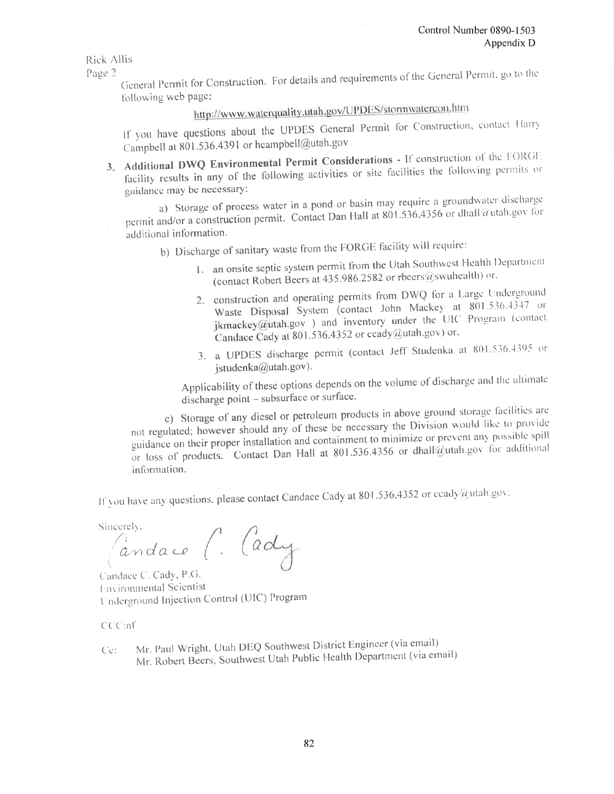*Surface Discharge:* Preliminary plans are to use Baker Tanks for storage of process water. If the Utah FORGE Project requires storage of process water in ponds or basins, a groundwater discharge permit will need to be obtained from the Utah Division of Water Quality. The Utah FORGE Project will likely involve the storage of process water, but the locations, type of storage, and quantities of discharge are not yet known. If needed, we will apply for the groundwater discharge permit when storage and discharge information is available during phase 2 of the FORGE project.

*Sanitary Waste – Septic System*: The Utah Division of Water Quality requires that prior to discharge of sanitary waste, a septic tank system permit be obtained. Such a permit will be applied for through the Southwest Utah Public Health Department as soon as the Utah FORGE Project has been sited and designed, and the proposed location of the septic tank system and leachline drainfield is known. This will occur during phase 2 of the FORGE project. *Fuel and Other Flammable or Hazardous Material*: The Utah Division of Water Quality would like to provide guidance regarding proper storage and containment of above ground diesel and petroleum products to minimize possible spill or loss of products. The Utah FORGE Project will communicate with the Utah Division of Water Quality as soon as the sites of any diesel or petroleum storage facilities associated with our project are known, prior to bringing such storage facilities to the site. Common mitigation measures can include, but not be limited to creating a berm a few inches high, or a trench of a few inches deep around fuel tanks and ensuring availability of onsite fire extinguishers, fire water tanks, and firefighting and safety equipment and including direction for handling of hazardous materials in a site safety plan.

## **Utah Department of Natural Resources – Division of Water Rights**

*Application to Appropriate Geothermal Water:* The Utah Division of Water Rights (DWRi) administers the appropriation and distribution of the State's valuable water resources. The Utah Geological Survey on behalf of the Utah FORGE Project has already applied for and been granted water rights for 50 acre-feet per year of groundwater from seven points of diversion in the Black Rock District of Escalante Valley for geothermal purposes (see Order of the State Engineer for Fixed-Time Application Number 71-5373 in Appendix 1.3.7). Should the points of diversion change once well sites are more precisely located during phase 2 of the FORGE project, the Utah Geological Survey may need to file a change application.

*Application to Drill Geothermal Wells:* The DWRi regulates the drilling of geothermal wells in Utah under Utah Administrative Code Rule R655-1. During phase 2 of the FORGE project, before drilling any exploratory or production wells, the Utah FORGE Project is required to submit a plan of operations to the State Engineer for his approval. This plan shall include the following.

- Location, elevation and layout.
- Lease identification and Well Number.
- Tools and equipment description including maximum capacity and depth rating.
- Expected depth and geology.
- Drilling, mud, cementing and casing program.
- Blowout Prevention Equipment (BOPE) installation and test.
- Logging, coring and testing program.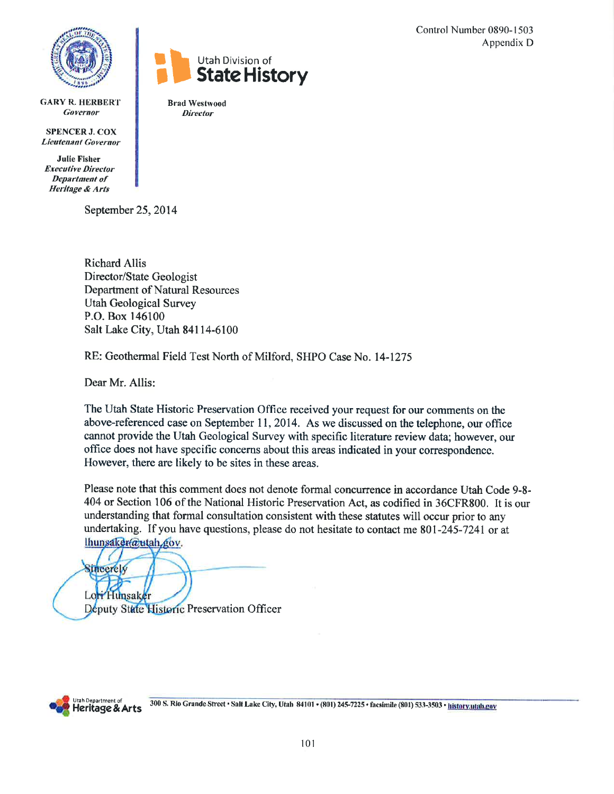- Methods for disposal of waste materials.
- Environmental considerations.
- Emergency procedures.
- Other information as the State Engineer may require.

## **Southwest Utah Public Health Department**

Utah regulations require that all wastewater be disposed to an approved sewer or onsite wastewater (septic) system. Southwest Utah Public Health Department environmental health professionals will assist the Utah FORGE Project in applying for a septic system permit, answering questions or concerns throughout the construction process, and maintaining the project's system in proper working condition (http://swuhealth.org/utah-septic-systems/).

The Utah FORGE Project must perform soil and percolation tests before designing a septic system and completing a Septic System Application to the Southwest Utah Public Health Department. Utah regulations require that certified individuals or engineers perform soil testing and design septic systems. The Utah FORGE Project will do this work during Phase 2C of the FORGE project, when an office building will be constructed.

## **Utah Department of Heritage and Arts – State Historic Preservation Office**

In addition to the federal cultural and archeological regulations, Utah law requires state agencies and developers using state funds to take into account how their expenditures or undertakings will affect historical and archaeological properties. Written evaluation of the project and an opportunity to comment must be provided to the State Historic Preservation Officer (SHPO). Although there are no historical sites in the area surrounding the Utah FORGE Project site, there are archaeological sites (see September 2014 letter from Lori Hunsaker in Appendix 1.3.7). However, the BLM field office in Cedar City has indicated that there are no known cultural sites where the Utah FORGE Project has proposed activities. A cultural/archeological field survey and report by qualified professionals will be obtained in communication with SHPO during Phase 2, preceded by submission to SHPO of an Area of Potential Effect (APE) map.

## **Beaver County**

*Conditional Use Permit:* The Utah FORGE Project will be required to obtain a Conditional Use Permit (CUP) from Beaver County for the drilling portion of the project during phase 2 of the FORGE project (see October 2015 emails from Scott Albrecht in Appendix 1.3.7 ). The entire scope of work will likely be permitted through one CUP, and the process will likely be completed in 6 weeks. As a condition of the CUP, a road maintenance agreement (RMA) between Beaver County and the Utah FORGE Project will need to be adopted. This agreement will state that Beaver County will perform regular maintenance and that the Utah FORGE Project will be responsible for any damages caused as a direct result of a negligent act by the project.

*Building Permit:* Beaver County will require the Utah FORGE Project to obtain a building permit for temporary offices. If the Utah FORGE Project offices are going to be in place for more than 1 year, Beaver County requires they have a permanent foundation.